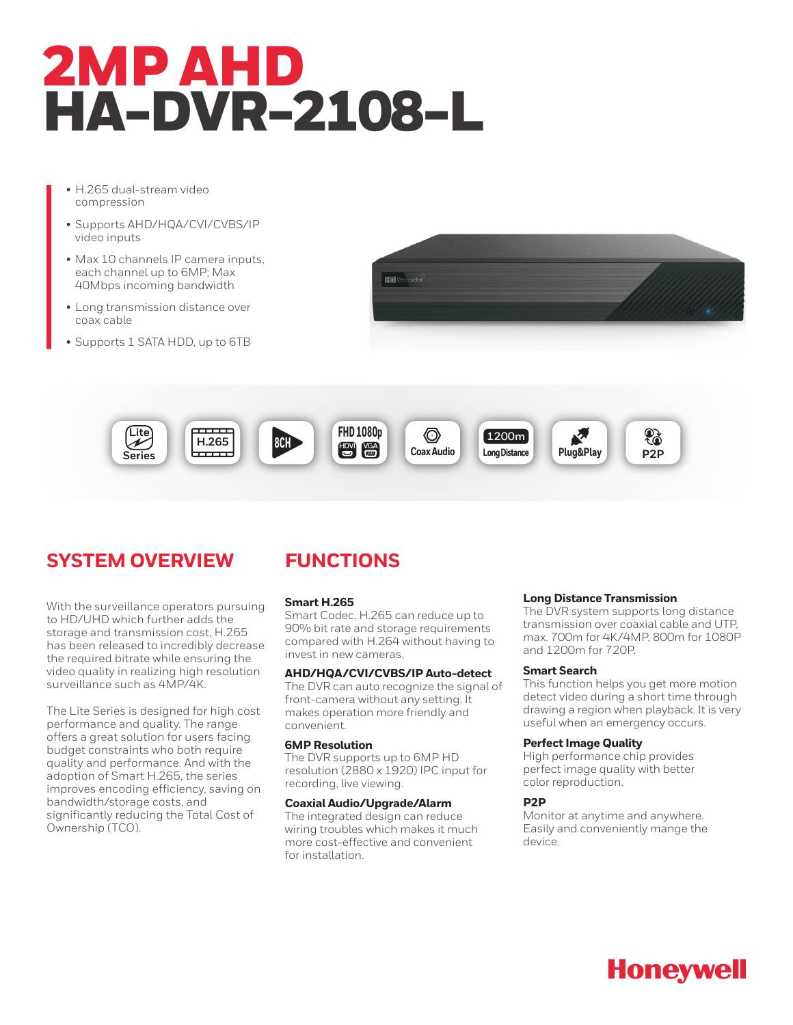# 2MP AHD HA-DVR-2108-L

- H.265 dual-stream video compression
- Supports AHD/HQA/CVI/CVBS/IP video inputs
- Max 10 channels IP camera inputs, each channel up to 6MP; Max 40Mbps incoming bandwidth
- Long transmission distance over coax cable
- Supports 1 SATA HDD, up to 6TB





# **SYSTEM OVERVIEW**

With the surveillance operators pursuing to HD/UHD which further adds the storage and transmission cost, H.265 has been released to incredibly decrease the required bitrate while ensuring the video quality in realizing high resolution surveillance such as 4MP/4K.

The Lite Series is designed for high cost performance and quality. The range offers a great solution for users facing budget constraints who both require quality and performance. And with the adoption of Smart H.265, the series improves encoding efficiency, saving on bandwidth/storage costs, and significantly reducing the Total Cost of Ownership (TCO).

# **FUNCTIONS**

# **Smart H.265**

Smart Codec, H.265 can reduce up to 90% bit rate and storage requirements compared with H.264 without having to invest in new cameras.

# **AHD/HQA/CVI/CVBS/IP Auto-detect**

The DVR can auto recognize the signal of front-camera without any setting. It makes operation more friendly and convenient.

# **6MP Resolution**

The DVR supports up to 6MP HD resolution (2880 x 1920) IPC input for recording, live viewing.

# **Coaxial Audio/Upgrade/Alarm**

The integrated design can reduce wiring troubles which makes it much more cost-effective and convenient for installation.

# **Long Distance Transmission**

The DVR system supports long distance transmission over coaxial cable and UTP, max. 700m for 4K/4MP, 800m for 1080P and 1200m for 720P.

# **Smart Search**

This function helps you get more motion detect video during a short time through drawing a region when playback. It is very useful when an emergency occurs.

### **Perfect Image Quality**

High performance chip provides perfect image quality with better color reproduction.

# **P2P**

Monitor at anytime and anywhere. Easily and conveniently mange the device.

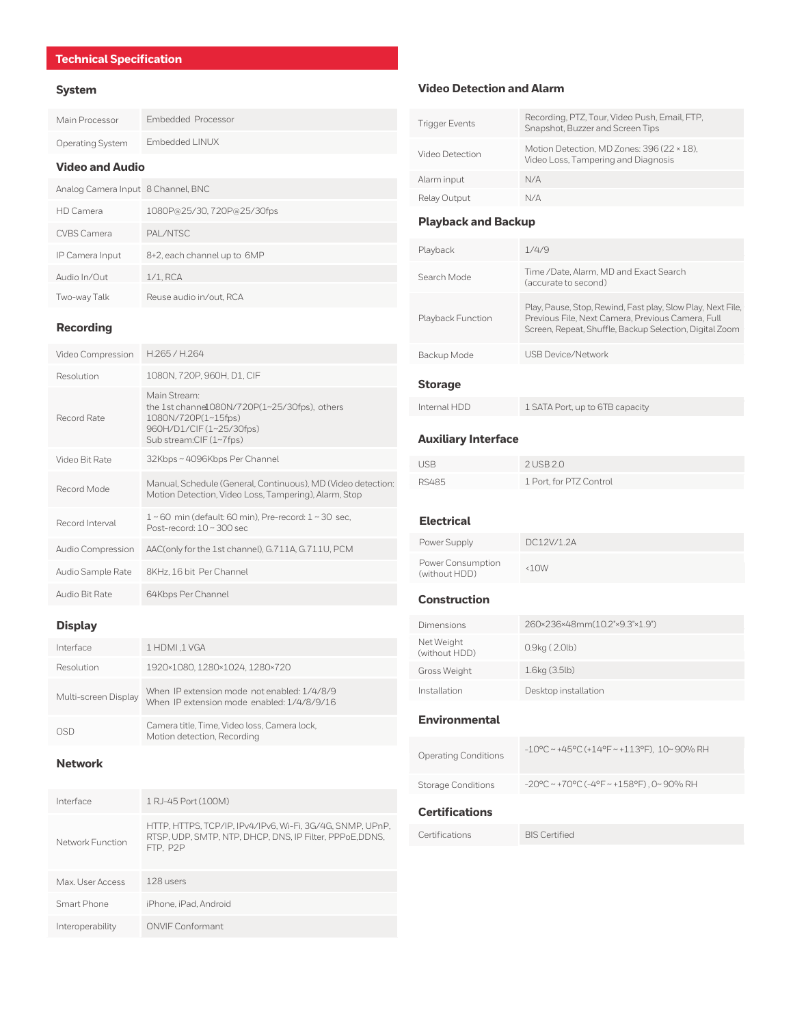Main Processor Embedded Processor

# Operating System Embedded LINUX

# **Video and Audio**

| Analog Camera Input 8 Channel, BNC |                             |
|------------------------------------|-----------------------------|
| HD Camera                          | 1080P@25/30, 720P@25/30fps  |
| CVBS Camera                        | <b>PAI /NTSC</b>            |
| IP Camera Input                    | 8+2, each channel up to 6MP |
| Audio In/Out                       | $1/1$ . RCA                 |
| Two-way Talk                       | Reuse audio in/out, RCA     |

# **Recording**

| Video Compression | H.265 / H.264                                                                                                                              |
|-------------------|--------------------------------------------------------------------------------------------------------------------------------------------|
| Resolution        | 1080N, 720P, 960H, D1, CIF                                                                                                                 |
| Record Rate       | Main Stream:<br>the 1st channe1080N/720P(1~25/30fps), others<br>1080N/720P(1~15fps)<br>960H/D1/CIF (1~25/30fps)<br>Sub stream:CIF (1~7fps) |
| Video Bit Rate    | 32Kbps~4096Kbps Per Channel                                                                                                                |
| Record Mode       | Manual, Schedule (General, Continuous), MD (Video detection:<br>Motion Detection, Video Loss, Tampering), Alarm, Stop                      |
| Record Interval   | $1 \sim 60$ min (default: 60 min), Pre-record: $1 \sim 30$ sec,<br>Post-record: 10~300 sec                                                 |
| Audio Compression | AAC(only for the 1st channel), G.711A, G.711U, PCM                                                                                         |
| Audio Sample Rate | 8KHz, 16 bit Per Channel                                                                                                                   |
| Audio Bit Rate    | 64Kbps Per Channel                                                                                                                         |

# **Display**

| Interface            | 1 HDMI, 1 VGA                                                                             |
|----------------------|-------------------------------------------------------------------------------------------|
| Resolution           | 1920×1080.1280×1024.1280×720                                                              |
| Multi-screen Display | When IP extension mode not enabled: 1/4/8/9<br>When IP extension mode enabled: 1/4/8/9/16 |
|                      | Camera title. Time. Video loss. Camera lock.<br>Motion detection, Recording               |

# **Network**

| Interface        | 1 RJ-45 Port (100M)                                                                                                               |
|------------------|-----------------------------------------------------------------------------------------------------------------------------------|
| Network Function | HTTP, HTTPS, TCP/IP, IPv4/IPv6, Wi-Fi, 3G/4G, SNMP, UPnP,<br>RTSP, UDP, SMTP, NTP, DHCP, DNS, IP Filter, PPPoE, DDNS,<br>FTP, P2P |
| Max. User Access | 128 users                                                                                                                         |
| Smart Phone      | iPhone, iPad, Android                                                                                                             |
| Interoperability | ONVIE Conformant                                                                                                                  |

# **System Video Detection and Alarm**

| <b>Trigger Events</b>                              | Recording, PTZ, Tour, Video Push, Email, FTP,<br>Snapshot, Buzzer and Screen Tips                                                                                           |  |
|----------------------------------------------------|-----------------------------------------------------------------------------------------------------------------------------------------------------------------------------|--|
| Video Detection                                    | Motion Detection, MD Zones: 396 (22 × 18),<br>Video Loss, Tampering and Diagnosis                                                                                           |  |
| Alarm input                                        | N/A                                                                                                                                                                         |  |
| Relay Output                                       | N/A                                                                                                                                                                         |  |
| <b>Playback and Backup</b>                         |                                                                                                                                                                             |  |
| Playback                                           | 1/4/9                                                                                                                                                                       |  |
| Search Mode                                        | Time / Date, Alarm, MD and Exact Search<br>(accurate to second)                                                                                                             |  |
| Playback Function                                  | Play, Pause, Stop, Rewind, Fast play, Slow Play, Next File,<br>Previous File, Next Camera, Previous Camera, Full<br>Screen, Repeat, Shuffle, Backup Selection, Digital Zoom |  |
| Backup Mode                                        | <b>USB Device/Network</b>                                                                                                                                                   |  |
| <b>Storage</b>                                     |                                                                                                                                                                             |  |
| Internal HDD                                       | 1 SATA Port, up to 6TB capacity                                                                                                                                             |  |
| <b>Auxiliary Interface</b>                         |                                                                                                                                                                             |  |
| <b>USB</b>                                         | 2 USB 2.0                                                                                                                                                                   |  |
|                                                    |                                                                                                                                                                             |  |
| <b>RS485</b>                                       | 1 Port, for PTZ Control                                                                                                                                                     |  |
|                                                    |                                                                                                                                                                             |  |
| <b>Electrical</b>                                  | DC12V/1.2A                                                                                                                                                                  |  |
| Power Supply<br>Power Consumption<br>(without HDD) | &40W                                                                                                                                                                        |  |
| <b>Construction</b>                                |                                                                                                                                                                             |  |
| Dimensions                                         | 260×236×48mm(10.2"×9.3"×1.9")                                                                                                                                               |  |
| Net Weight<br>(without HDD)                        | 0.9kg (2.0lb)                                                                                                                                                               |  |
| Gross Weight                                       | 1.6kg (3.5lb)                                                                                                                                                               |  |
| Installation                                       | Desktop installation                                                                                                                                                        |  |
| <b>Environmental</b>                               |                                                                                                                                                                             |  |
| <b>Operating Conditions</b>                        | -10°C ~ +45°C (+14°F ~ +113°F), 10~90% RH                                                                                                                                   |  |
| <b>Storage Conditions</b>                          | $-20^{\circ}$ C ~ +70°C (-4°F ~ +158°F), 0~90% RH                                                                                                                           |  |
| <b>Certifications</b>                              |                                                                                                                                                                             |  |
| Certifications                                     | <b>BIS Certified</b>                                                                                                                                                        |  |